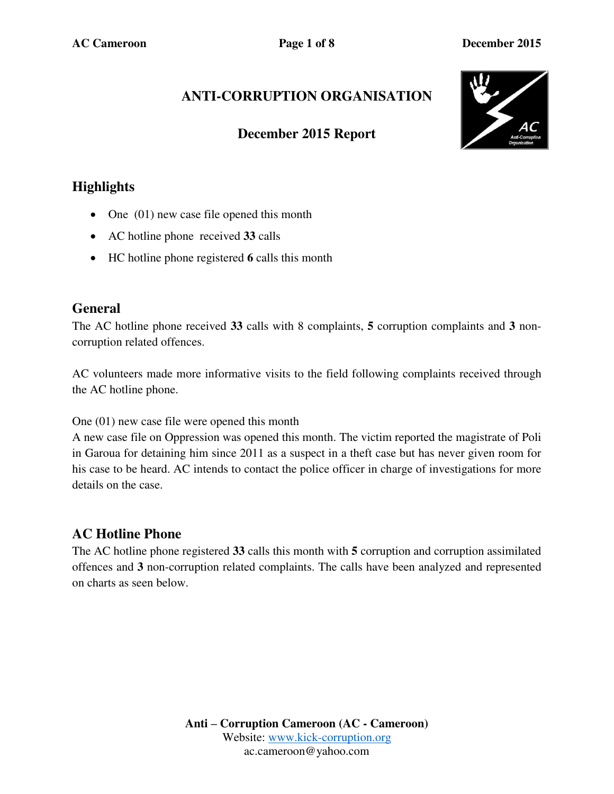# **ANTI-CORRUPTION ORGANISATION**

## **December 2015 Report**



## **Highlights**

- One (01) new case file opened this month
- AC hotline phone received **33** calls
- HC hotline phone registered **6** calls this month

#### **General**

The AC hotline phone received **33** calls with 8 complaints, **5** corruption complaints and **3** noncorruption related offences.

AC volunteers made more informative visits to the field following complaints received through the AC hotline phone.

One (01) new case file were opened this month

A new case file on Oppression was opened this month. The victim reported the magistrate of Poli in Garoua for detaining him since 2011 as a suspect in a theft case but has never given room for his case to be heard. AC intends to contact the police officer in charge of investigations for more details on the case.

# **AC Hotline Phone**

The AC hotline phone registered **33** calls this month with **5** corruption and corruption assimilated offences and **3** non-corruption related complaints. The calls have been analyzed and represented on charts as seen below.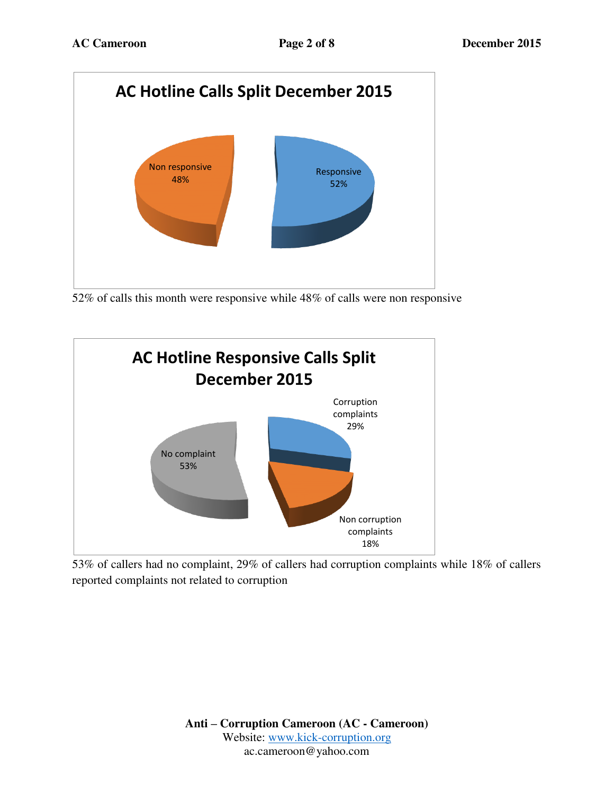

52% of calls this month were responsive while 48% of calls were non responsive



53% of callers had no complaint, 29% of callers had corruption complaints while 18% of callers reported complaints not related to corruption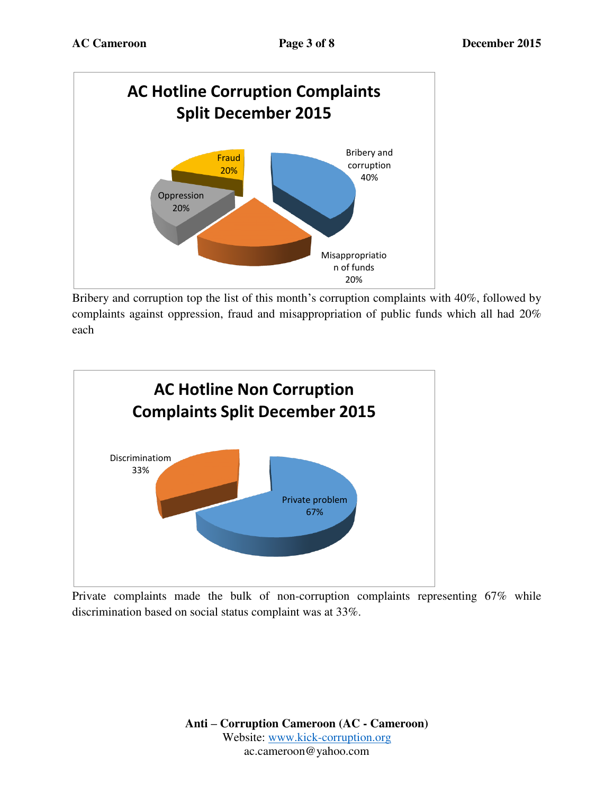

Bribery and corruption top the list of this month's corruption complaints with 40%, followed by complaints against oppression, fraud and misappropriation of public funds which all had 20% each



Private complaints made the bulk of non-corruption complaints representing 67% while discrimination based on social status complaint was at 33%.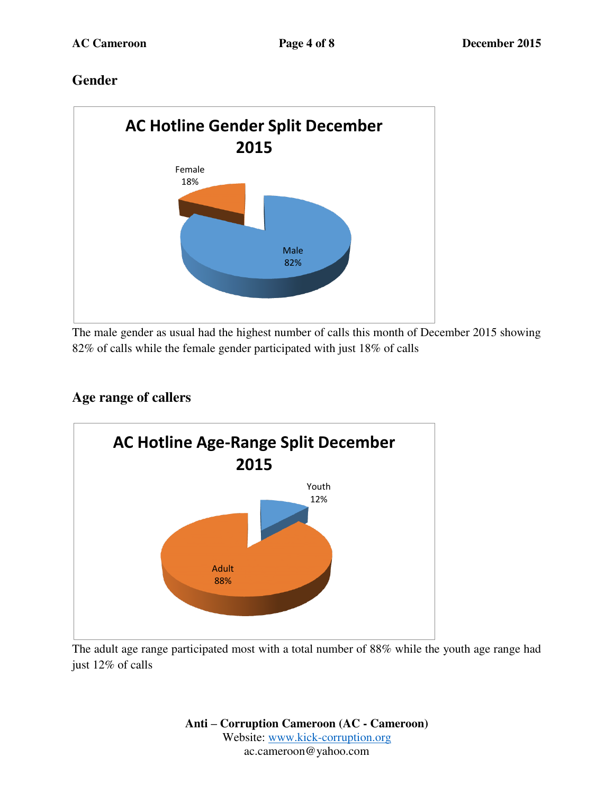## **Gender**



The male gender as usual had the highest number of calls this month of December 2015 showing 82% of calls while the female gender participated with just 18% of calls

## **Age range of callers**



The adult age range participated most with a total number of 88% while the youth age range had just 12% of calls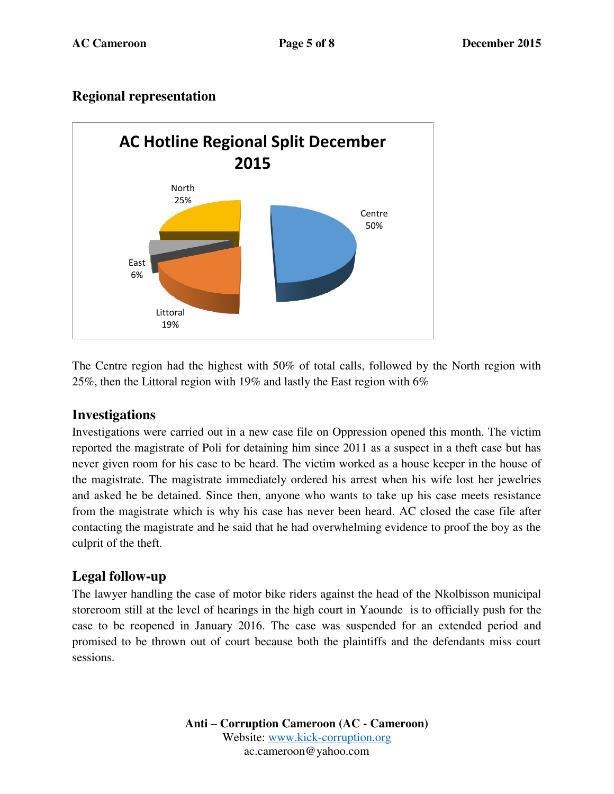## **Regional representation**



The Centre region had the highest with 50% of total calls, followed by the North region with 25%, then the Littoral region with 19% and lastly the East region with 6%

### **Investigations**

Investigations were carried out in a new case file on Oppression opened this month. The victim reported the magistrate of Poli for detaining him since 2011 as a suspect in a theft case but has never given room for his case to be heard. The victim worked as a house keeper in the house of the magistrate. The magistrate immediately ordered his arrest when his wife lost her jewelries and asked he be detained. Since then, anyone who wants to take up his case meets resistance from the magistrate which is why his case has never been heard. AC closed the case file after contacting the magistrate and he said that he had overwhelming evidence to proof the boy as the culprit of the theft.

### **Legal follow-up**

The lawyer handling the case of motor bike riders against the head of the Nkolbisson municipal storeroom still at the level of hearings in the high court in Yaounde is to officially push for the case to be reopened in January 2016. The case was suspended for an extended period and promised to be thrown out of court because both the plaintiffs and the defendants miss court sessions.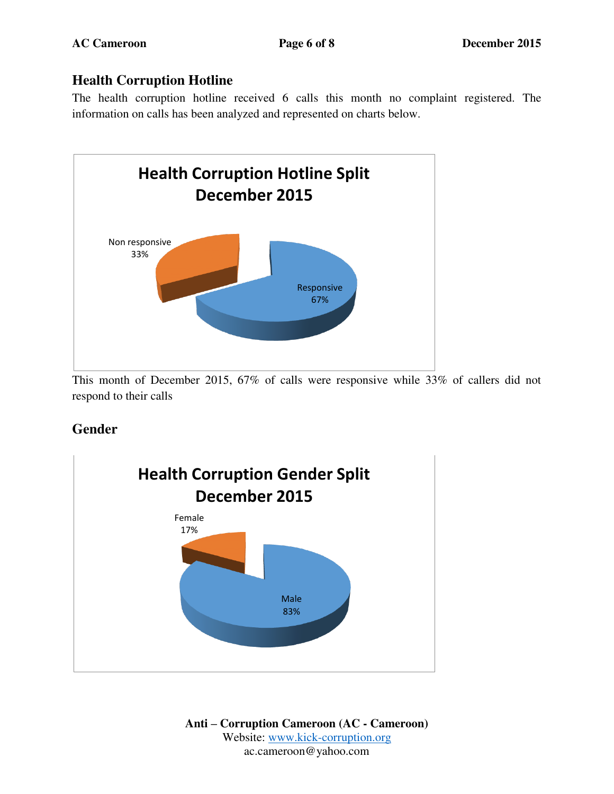## **Health Corruption Hotline**

The health corruption hotline received 6 calls this month no complaint registered. The information on calls has been analyzed and represented on charts below.



This month of December 2015, 67% of calls were responsive while 33% of callers did not respond to their calls

# **Gender**

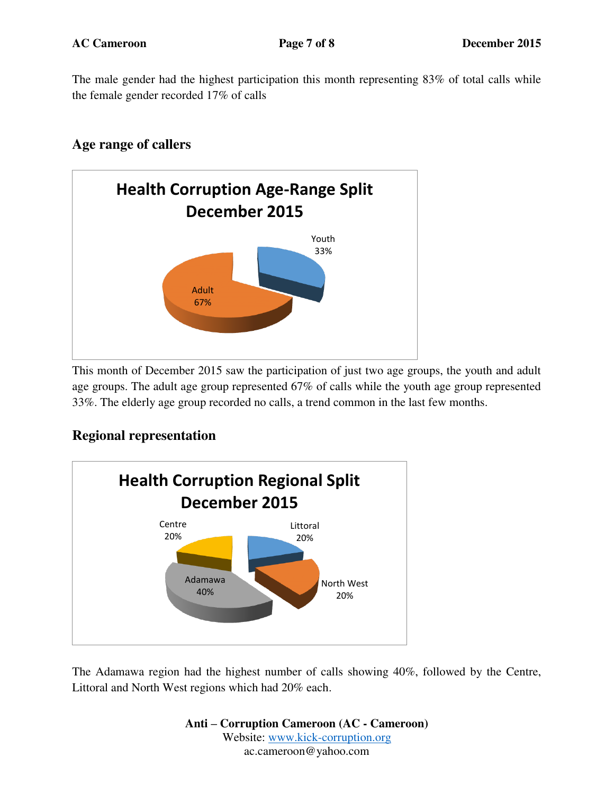The male gender had the highest participation this month representing 83% of total calls while the female gender recorded 17% of calls

## **Age range of callers**



This month of December 2015 saw the participation of just two age groups, the youth and adult age groups. The adult age group represented 67% of calls while the youth age group represented 33%. The elderly age group recorded no calls, a trend common in the last few months.

### **Regional representation**



The Adamawa region had the highest number of calls showing 40%, followed by the Centre, Littoral and North West regions which had 20% each.